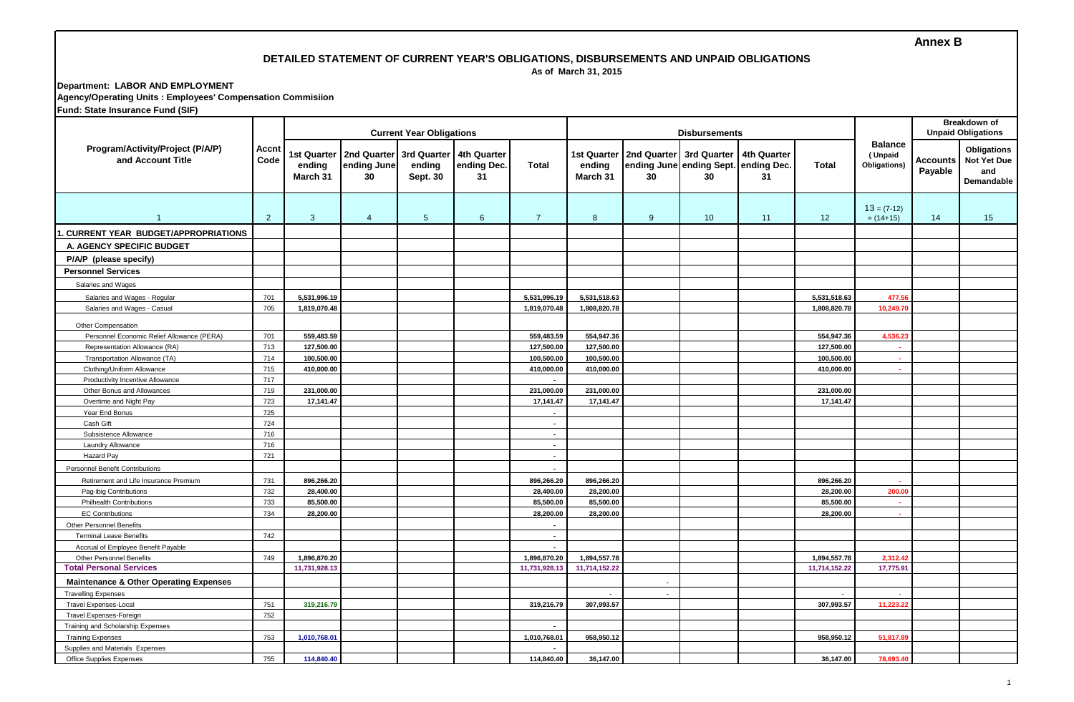### **Annex B**

# **DETAILED STATEMENT OF CURRENT YEAR'S OBLIGATIONS, DISBURSEMENTS AND UNPAID OBLIGATIONS**

 **As of March 31, 2015**

**Department: LABOR AND EMPLOYMENT Agency/Operating Units : Employees' Compensation Commisiion**

**Fund: State Insurance Fund (SIF)**

|                                                             |                |                                   |                                  | <b>Current Year Obligations</b>   |                                  |                          |                                          |                   | Breakdown of<br><b>Unpaid Obligations</b>                 |                   |               |                                           |                     |                                                               |
|-------------------------------------------------------------|----------------|-----------------------------------|----------------------------------|-----------------------------------|----------------------------------|--------------------------|------------------------------------------|-------------------|-----------------------------------------------------------|-------------------|---------------|-------------------------------------------|---------------------|---------------------------------------------------------------|
| Program/Activity/Project (P/A/P)<br>and Account Title       | Accnt<br>Code  | 1st Quarter<br>ending<br>March 31 | 2nd Quarter<br>ending June<br>30 | 3rd Quarter<br>ending<br>Sept. 30 | 4th Quarter<br>ending Dec.<br>31 | <b>Total</b>             | <b>1st Quarter</b><br>ending<br>March 31 | 2nd Quarter<br>30 | 3rd Quarter<br>ending June ending Sept. ending Dec.<br>30 | 4th Quarter<br>31 | Total         | <b>Balance</b><br>(Unpaid<br>Obligations) | Accounts<br>Payable | <b>Obligations</b><br><b>Not Yet Due</b><br>and<br>Demandable |
| $\overline{1}$                                              | $\overline{2}$ | 3                                 | $\overline{4}$                   | 5 <sup>5</sup>                    | 6                                | $\overline{7}$           | 8                                        | 9                 | 10 <sup>°</sup>                                           | 11                | 12            | $13 = (7-12)$<br>$= (14+15)$              | 14                  | 15                                                            |
| . CURRENT YEAR BUDGET/APPROPRIATIONS                        |                |                                   |                                  |                                   |                                  |                          |                                          |                   |                                                           |                   |               |                                           |                     |                                                               |
| A. AGENCY SPECIFIC BUDGET                                   |                |                                   |                                  |                                   |                                  |                          |                                          |                   |                                                           |                   |               |                                           |                     |                                                               |
| P/A/P (please specify)                                      |                |                                   |                                  |                                   |                                  |                          |                                          |                   |                                                           |                   |               |                                           |                     |                                                               |
| <b>Personnel Services</b>                                   |                |                                   |                                  |                                   |                                  |                          |                                          |                   |                                                           |                   |               |                                           |                     |                                                               |
| Salaries and Wages                                          |                |                                   |                                  |                                   |                                  |                          |                                          |                   |                                                           |                   |               |                                           |                     |                                                               |
|                                                             | 701            | 5,531,996.19                      |                                  |                                   |                                  | 5,531,996.19             | 5,531,518.63                             |                   |                                                           |                   | 5,531,518.63  | 477.5                                     |                     |                                                               |
| Salaries and Wages - Regular<br>Salaries and Wages - Casual | 705            | 1,819,070.48                      |                                  |                                   |                                  | 1,819,070.48             | 1,808,820.78                             |                   |                                                           |                   | 1,808,820.78  | 10,249.7                                  |                     |                                                               |
|                                                             |                |                                   |                                  |                                   |                                  |                          |                                          |                   |                                                           |                   |               |                                           |                     |                                                               |
| Other Compensation                                          |                |                                   |                                  |                                   |                                  |                          |                                          |                   |                                                           |                   |               |                                           |                     |                                                               |
| Personnel Economic Relief Allowance (PERA)                  | 701            | 559,483.59                        |                                  |                                   |                                  | 559,483.59               | 554,947.36                               |                   |                                                           |                   | 554,947.36    | 4,536.2                                   |                     |                                                               |
| Representation Allowance (RA)                               | 713            | 127,500.00                        |                                  |                                   |                                  | 127,500.00               | 127,500.00                               |                   |                                                           |                   | 127,500.00    |                                           |                     |                                                               |
| Transportation Allowance (TA)                               | 714            | 100,500.00                        |                                  |                                   |                                  | 100,500.00               | 100,500.00                               |                   |                                                           |                   | 100,500.00    | $\sim$                                    |                     |                                                               |
| Clothing/Uniform Allowance                                  | 715            | 410,000.00                        |                                  |                                   |                                  | 410,000.00               | 410,000.00                               |                   |                                                           |                   | 410,000.00    | ×.                                        |                     |                                                               |
| Productivity Incentive Allowance                            | 717            |                                   |                                  |                                   |                                  | $\overline{\phantom{a}}$ |                                          |                   |                                                           |                   |               |                                           |                     |                                                               |
| Other Bonus and Allowances                                  | 719            | 231,000.00                        |                                  |                                   |                                  | 231,000.00               | 231,000.00                               |                   |                                                           |                   | 231,000.00    |                                           |                     |                                                               |
| Overtime and Night Pay                                      | 723            | 17,141.47                         |                                  |                                   |                                  | 17,141.47                | 17,141.47                                |                   |                                                           |                   | 17,141.47     |                                           |                     |                                                               |
| Year End Bonus                                              | 725            |                                   |                                  |                                   |                                  | $\blacksquare$           |                                          |                   |                                                           |                   |               |                                           |                     |                                                               |
| Cash Gift                                                   | 724            |                                   |                                  |                                   |                                  | $\blacksquare$           |                                          |                   |                                                           |                   |               |                                           |                     |                                                               |
| Subsistence Allowance                                       | 716            |                                   |                                  |                                   |                                  | $\mathbf{r}$             |                                          |                   |                                                           |                   |               |                                           |                     |                                                               |
| Laundry Allowance                                           | 716            |                                   |                                  |                                   |                                  | $\sim$                   |                                          |                   |                                                           |                   |               |                                           |                     |                                                               |
| <b>Hazard Pay</b>                                           | 721            |                                   |                                  |                                   |                                  | $\blacksquare$           |                                          |                   |                                                           |                   |               |                                           |                     |                                                               |
| <b>Personnel Benefit Contributions</b>                      |                |                                   |                                  |                                   |                                  | $\blacksquare$           |                                          |                   |                                                           |                   |               |                                           |                     |                                                               |
| Retirement and Life Insurance Premium                       | 731            | 896,266.20                        |                                  |                                   |                                  | 896,266.20               | 896,266.20                               |                   |                                                           |                   | 896,266.20    |                                           |                     |                                                               |
| Pag-ibig Contributions                                      | 732            | 28,400.00                         |                                  |                                   |                                  | 28,400.00                | 28,200.00                                |                   |                                                           |                   | 28,200.00     | 200.00                                    |                     |                                                               |
| <b>Philhealth Contributions</b>                             | 733            | 85,500.00                         |                                  |                                   |                                  | 85,500.00                | 85,500.00                                |                   |                                                           |                   | 85,500.00     |                                           |                     |                                                               |
| <b>EC Contributions</b>                                     | 734            | 28,200.00                         |                                  |                                   |                                  | 28,200.00                | 28,200.00                                |                   |                                                           |                   | 28,200.00     | $\sim$                                    |                     |                                                               |
| Other Personnel Benefits                                    |                |                                   |                                  |                                   |                                  | $\blacksquare$           |                                          |                   |                                                           |                   |               |                                           |                     |                                                               |
| <b>Terminal Leave Benefits</b>                              | 742            |                                   |                                  |                                   |                                  | $\blacksquare$           |                                          |                   |                                                           |                   |               |                                           |                     |                                                               |
| Accrual of Employee Benefit Payable                         |                |                                   |                                  |                                   |                                  |                          |                                          |                   |                                                           |                   |               |                                           |                     |                                                               |
| <b>Other Personnel Benefits</b>                             | 749            | 1,896,870.20                      |                                  |                                   |                                  | 1,896,870.20             | 1,894,557.78                             |                   |                                                           |                   | 1,894,557.78  | 2,312.42                                  |                     |                                                               |
| <b>Total Personal Services</b>                              |                | 11,731,928.13                     |                                  |                                   |                                  | 11,731,928.13            | 11,714,152.22                            |                   |                                                           |                   | 11,714,152.22 | 17,775.91                                 |                     |                                                               |
| <b>Maintenance &amp; Other Operating Expenses</b>           |                |                                   |                                  |                                   |                                  |                          |                                          |                   |                                                           |                   |               |                                           |                     |                                                               |
| <b>Travelling Expenses</b>                                  |                |                                   |                                  |                                   |                                  |                          | $\sim$                                   | ÷.                |                                                           |                   | a.            |                                           |                     |                                                               |
| <b>Travel Expenses-Local</b>                                | 751            | 319,216.79                        |                                  |                                   |                                  | 319,216.79               | 307,993.57                               |                   |                                                           |                   | 307,993.57    | 11,223.22                                 |                     |                                                               |
| Travel Expenses-Foreign                                     | 752            |                                   |                                  |                                   |                                  |                          |                                          |                   |                                                           |                   |               |                                           |                     |                                                               |
| Training and Scholarship Expenses                           |                |                                   |                                  |                                   |                                  | $\blacksquare$           |                                          |                   |                                                           |                   |               |                                           |                     |                                                               |
| <b>Training Expenses</b>                                    | 753            | 1,010,768.01                      |                                  |                                   |                                  | 1,010,768.01             | 958,950.12                               |                   |                                                           |                   | 958,950.12    | 51,817.8                                  |                     |                                                               |
| Supplies and Materials Expenses                             |                |                                   |                                  |                                   |                                  | $\overline{\phantom{a}}$ |                                          |                   |                                                           |                   |               |                                           |                     |                                                               |
| Office Supplies Expenses                                    | 755            | 114,840.40                        |                                  |                                   |                                  | 114,840.40               | 36,147.00                                |                   |                                                           |                   | 36,147.00     | 78,693.4                                  |                     |                                                               |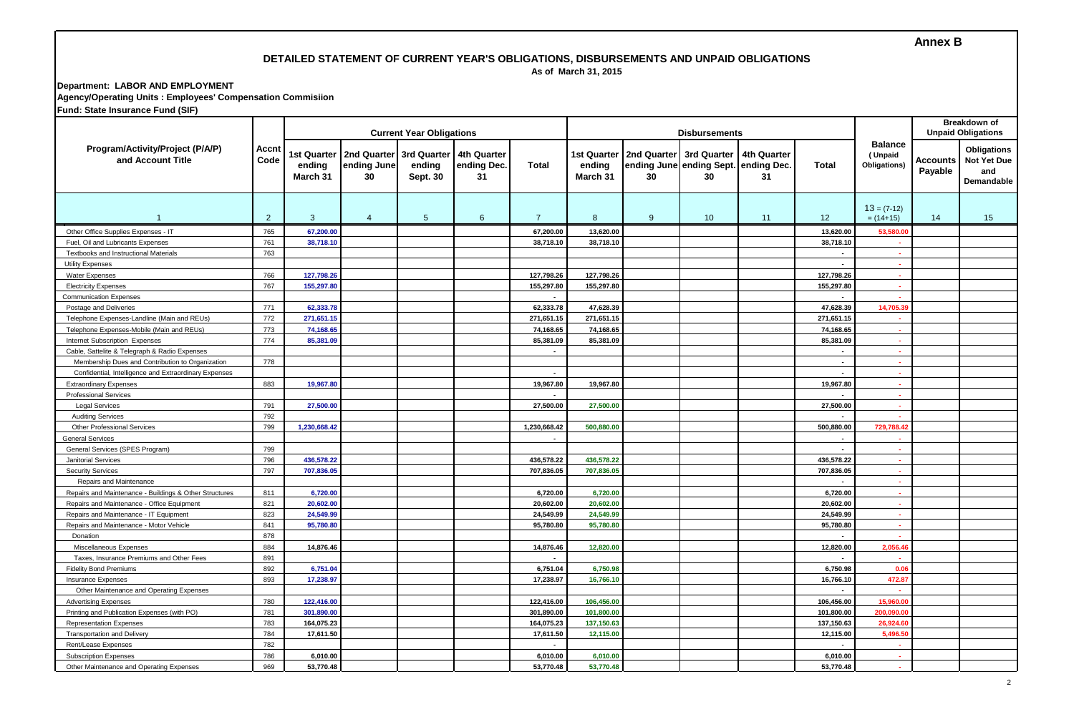### **Annex B**

# **DETAILED STATEMENT OF CURRENT YEAR'S OBLIGATIONS, DISBURSEMENTS AND UNPAID OBLIGATIONS**

 **As of March 31, 2015**

**Department: LABOR AND EMPLOYMENT Agency/Operating Units : Employees' Compensation Commisiion**

**Fund: State Insurance Fund (SIF)**

|                                                        | <b>Accnt</b><br>Code |                                   |                                  | <b>Current Year Obligations</b>   |                                  |                          |                                          |                   | Breakdown of<br><b>Unpaid Obligations</b>                 |                   |                          |                                           |                     |                                                               |
|--------------------------------------------------------|----------------------|-----------------------------------|----------------------------------|-----------------------------------|----------------------------------|--------------------------|------------------------------------------|-------------------|-----------------------------------------------------------|-------------------|--------------------------|-------------------------------------------|---------------------|---------------------------------------------------------------|
| Program/Activity/Project (P/A/P)<br>and Account Title  |                      | 1st Quarter<br>ending<br>March 31 | 2nd Quarter<br>ending June<br>30 | 3rd Quarter<br>ending<br>Sept. 30 | 4th Quarter<br>ending Dec.<br>31 | Total                    | <b>1st Quarter</b><br>ending<br>March 31 | 2nd Quarter<br>30 | 3rd Quarter<br>ending June ending Sept. ending Dec.<br>30 | 4th Quarter<br>31 | <b>Total</b>             | <b>Balance</b><br>(Unpaid<br>Obligations) | Accounts<br>Payable | <b>Obligations</b><br><b>Not Yet Due</b><br>and<br>Demandable |
| -1                                                     | 2                    | $\mathbf{3}$                      | $\overline{4}$                   | $5\overline{5}$                   | 6                                | $\overline{7}$           | 8                                        | 9                 | 10 <sup>°</sup>                                           | 11                | 12                       | $13 = (7-12)$<br>$= (14+15)$              | 14                  | 15                                                            |
| Other Office Supplies Expenses - IT                    | 765                  | 67,200.00                         |                                  |                                   |                                  | 67,200.00                | 13,620.00                                |                   |                                                           |                   | 13,620.00                | 53.580.00                                 |                     |                                                               |
| Fuel, Oil and Lubricants Expenses                      | 761                  | 38,718.10                         |                                  |                                   |                                  | 38,718.10                | 38,718.10                                |                   |                                                           |                   | 38,718.10                | $\sim$                                    |                     |                                                               |
| Textbooks and Instructional Materials                  | 763                  |                                   |                                  |                                   |                                  |                          |                                          |                   |                                                           |                   | $\overline{\phantom{a}}$ | $\sim$                                    |                     |                                                               |
| <b>Utility Expenses</b>                                |                      |                                   |                                  |                                   |                                  |                          |                                          |                   |                                                           |                   | $\overline{\phantom{a}}$ |                                           |                     |                                                               |
| Water Expenses                                         | 766                  | 127,798.26                        |                                  |                                   |                                  | 127,798.26               | 127,798.26                               |                   |                                                           |                   | 127,798.26               | r.                                        |                     |                                                               |
| <b>Electricity Expenses</b>                            | 767                  | 155,297.80                        |                                  |                                   |                                  | 155,297.80               | 155,297.80                               |                   |                                                           |                   | 155,297.80               | ×.                                        |                     |                                                               |
| <b>Communication Expenses</b>                          |                      |                                   |                                  |                                   |                                  | $\overline{\phantom{a}}$ |                                          |                   |                                                           |                   | $\overline{\phantom{a}}$ |                                           |                     |                                                               |
| Postage and Deliveries                                 | 771                  | 62,333.78                         |                                  |                                   |                                  | 62,333.78                | 47,628.39                                |                   |                                                           |                   | 47,628.39                | 14,705.3                                  |                     |                                                               |
| Telephone Expenses-Landline (Main and REUs)            | 772                  | 271,651.15                        |                                  |                                   |                                  | 271,651.15               | 271,651.15                               |                   |                                                           |                   | 271,651.15               |                                           |                     |                                                               |
| Telephone Expenses-Mobile (Main and REUs)              | 773                  | 74,168.65                         |                                  |                                   |                                  | 74,168.65                | 74,168.65                                |                   |                                                           |                   | 74,168.65                | r.                                        |                     |                                                               |
| Internet Subscription Expenses                         | 774                  | 85,381.09                         |                                  |                                   |                                  | 85,381.09                | 85,381.09                                |                   |                                                           |                   | 85,381.09                | ×.                                        |                     |                                                               |
| Cable, Sattelite & Telegraph & Radio Expenses          |                      |                                   |                                  |                                   |                                  | $\overline{a}$           |                                          |                   |                                                           |                   | $\overline{a}$           | r.                                        |                     |                                                               |
| Membership Dues and Contribution to Organization       | 778                  |                                   |                                  |                                   |                                  |                          |                                          |                   |                                                           |                   | $\overline{\phantom{a}}$ | $\sim$                                    |                     |                                                               |
| Confidential, Intelligence and Extraordinary Expenses  |                      |                                   |                                  |                                   |                                  | $\overline{\phantom{a}}$ |                                          |                   |                                                           |                   | $\overline{\phantom{a}}$ | $\sim$                                    |                     |                                                               |
| <b>Extraordinary Expenses</b>                          | 883                  | 19,967.80                         |                                  |                                   |                                  | 19,967.80                | 19,967.80                                |                   |                                                           |                   | 19,967.80                | ×.                                        |                     |                                                               |
| <b>Professional Services</b>                           |                      |                                   |                                  |                                   |                                  | $\blacksquare$           |                                          |                   |                                                           |                   | $\overline{\phantom{a}}$ | ×.                                        |                     |                                                               |
| <b>Legal Services</b>                                  | 791                  | 27,500.00                         |                                  |                                   |                                  | 27,500.00                | 27,500.00                                |                   |                                                           |                   | 27,500.00                | $\sim$                                    |                     |                                                               |
| <b>Auditing Services</b>                               | 792                  |                                   |                                  |                                   |                                  |                          |                                          |                   |                                                           |                   |                          |                                           |                     |                                                               |
| Other Professional Services                            | 799                  | 1,230,668.42                      |                                  |                                   |                                  | 1,230,668.42             | 500,880.00                               |                   |                                                           |                   | 500,880.00               | 729,788.42                                |                     |                                                               |
| <b>General Services</b>                                |                      |                                   |                                  |                                   |                                  | $\overline{\phantom{a}}$ |                                          |                   |                                                           |                   | $\overline{\phantom{a}}$ | $\sim$                                    |                     |                                                               |
| General Services (SPES Program)                        | 799                  |                                   |                                  |                                   |                                  |                          |                                          |                   |                                                           |                   |                          | $\sim$                                    |                     |                                                               |
| <b>Janitorial Services</b>                             | 796                  | 436,578.22                        |                                  |                                   |                                  | 436.578.22               | 436,578.22                               |                   |                                                           |                   | 436,578.22               |                                           |                     |                                                               |
| <b>Security Services</b>                               | 797                  | 707,836.05                        |                                  |                                   |                                  | 707,836.05               | 707,836.05                               |                   |                                                           |                   | 707,836.05               | $\sim$                                    |                     |                                                               |
| Repairs and Maintenance                                |                      |                                   |                                  |                                   |                                  |                          |                                          |                   |                                                           |                   |                          | $\sim$                                    |                     |                                                               |
| Repairs and Maintenance - Buildings & Other Structures | 811                  | 6,720.00                          |                                  |                                   |                                  | 6,720.00                 | 6,720.00                                 |                   |                                                           |                   | 6,720.00                 | $\sim$                                    |                     |                                                               |
| Repairs and Maintenance - Office Equipment             | 821                  | 20,602.00                         |                                  |                                   |                                  | 20,602.00                | 20,602.00                                |                   |                                                           |                   | 20,602.00                | $\sim$                                    |                     |                                                               |
| Repairs and Maintenance - IT Equipment                 | 823                  | 24,549.99                         |                                  |                                   |                                  | 24,549.99                | 24,549.99                                |                   |                                                           |                   | 24,549.99                | $\sim$                                    |                     |                                                               |
| Repairs and Maintenance - Motor Vehicle                | 841                  | 95,780.80                         |                                  |                                   |                                  | 95,780.80                | 95,780.80                                |                   |                                                           |                   | 95,780.80                | $\sim$                                    |                     |                                                               |
| Donation                                               | 878                  |                                   |                                  |                                   |                                  |                          |                                          |                   |                                                           |                   |                          |                                           |                     |                                                               |
| Miscellaneous Expenses                                 | 884                  | 14,876.46                         |                                  |                                   |                                  | 14,876.46                | 12,820.00                                |                   |                                                           |                   | 12,820.00                | 2,056.46                                  |                     |                                                               |
| Taxes, Insurance Premiums and Other Fees               | 891                  |                                   |                                  |                                   |                                  | $\blacksquare$           |                                          |                   |                                                           |                   | $\overline{a}$           | <b>A</b>                                  |                     |                                                               |
| <b>Fidelity Bond Premiums</b>                          | 892                  | 6,751.04                          |                                  |                                   |                                  | 6,751.04                 | 6,750.98                                 |                   |                                                           |                   | 6,750.98                 | 0.06                                      |                     |                                                               |
| <b>Insurance Expenses</b>                              | 893                  | 17,238.97                         |                                  |                                   |                                  | 17,238.97                | 16,766.10                                |                   |                                                           |                   | 16,766.10                | 472.87                                    |                     |                                                               |
| Other Maintenance and Operating Expenses               |                      |                                   |                                  |                                   |                                  |                          |                                          |                   |                                                           |                   | $\sim$                   |                                           |                     |                                                               |
| <b>Advertising Expenses</b>                            | 780                  | 122,416.00                        |                                  |                                   |                                  | 122,416.00               | 106,456.00                               |                   |                                                           |                   | 106,456.00               | 15,960.00                                 |                     |                                                               |
| Printing and Publication Expenses (with PO)            | 781                  | 301,890.00                        |                                  |                                   |                                  | 301,890.00               | 101,800.00                               |                   |                                                           |                   | 101,800.00               | 200,090.00                                |                     |                                                               |
| <b>Representation Expenses</b>                         | 783                  | 164,075.23                        |                                  |                                   |                                  | 164,075.23               | 137,150.63                               |                   |                                                           |                   | 137,150.63               | 26.924.60                                 |                     |                                                               |
| <b>Transportation and Delivery</b>                     | 784                  | 17,611.50                         |                                  |                                   |                                  | 17,611.50                | 12,115.00                                |                   |                                                           |                   | 12,115.00                | 5,496.50                                  |                     |                                                               |
| Rent/Lease Expenses                                    | 782                  |                                   |                                  |                                   |                                  |                          |                                          |                   |                                                           |                   |                          |                                           |                     |                                                               |
| <b>Subscription Expenses</b>                           | 786                  | 6,010.00                          |                                  |                                   |                                  | 6,010.00                 | 6,010.00                                 |                   |                                                           |                   | 6,010.00                 | $\sim$                                    |                     |                                                               |
| Other Maintenance and Operating Expenses               | 969                  | 53,770.48                         |                                  |                                   |                                  | 53.770.48                | 53,770.48                                |                   |                                                           |                   | 53.770.48                | a.                                        |                     |                                                               |